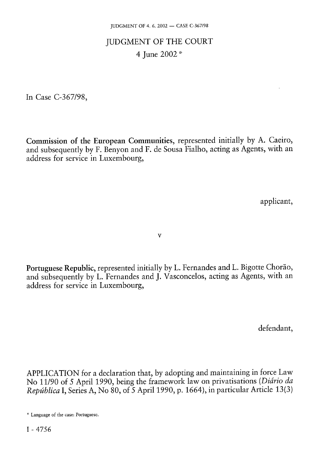## JUDGMENT OF THE COURT 4 June 2002 \*

In Case C-367/98,

Commission of the European Communities, represented initially by A. Caeiro, and subsequently by F. Benyon and F. de Sousa Fialho, acting as Agents, with an address for service in Luxembourg,

applicant,

v

Portuguese Republic, represented initially by L. Fernandes and L. Bigotte Chorão, and subsequently by L. Fernandes and J. Vasconcelos, acting as Agents, with an address for service in Luxembourg,

defendant,

APPLICATION for a declaration that, by adopting and maintaining in force Law No 11/90 of 5 April 1990, being the framework law on privatisations *(Diário da República* I, Series A, No 80, of 5 April 1990, p. 1664), in particular Article 13(3)

<sup>\*</sup> Language of the case: Portuguese.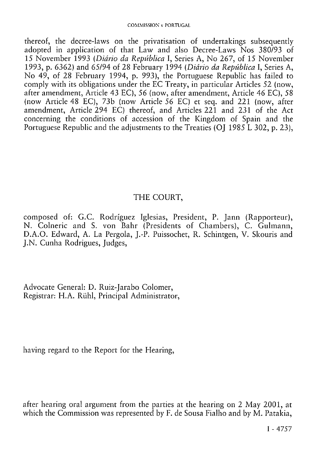thereof, the decree-laws on the privatisation of undertakings subsequently adopted in application of that Law and also Decree-Laws Nos 380/93 of 15 November 1993 *(Diário da República* I, Series A, No 267, of 15 November 1993, p. 6362) and 65/94 of 28 February 1994 *(Diário da República* I, Series A, No 49, of 28 February 1994, p. 993), the Portuguese Republic has failed to comply with its obligations under the EC Treaty, in particular Articles 52 (now, after amendment, Article 43 EC), 56 (now, after amendment, Article 46 EC), 58 (now Article 48 EC), 73b (now Article 56 EC) et seq. and 221 (now, after amendment, Article 294 EC) thereof, and Articles 221 and 231 of the Act concerning the conditions of accession of the Kingdom of Spain and the Portuguese Republic and the adjustments to the Treaties (OJ 1985 L 302, p. 23),

## THE COURT,

composed of: G.C. Rodriguez Iglesias, President, P. Jann (Rapporteur), N. Colneric and S. von Bahr (Presidents of Chambers), C. Gulmann, D.A.O. Edward, A. La Pergola, J.-P. Puissochet, R. Schintgen, V. Skouris and J.N. Cunha Rodrigues, Judges,

Advocate General: D. Ruiz-Jarabo Colomer, Registrar: H.A. Rühi, Principal Administrator,

having regard to the Report for the Hearing,

after hearing oral argument from the parties at the hearing on 2 May 2001, at which the Commission was represented by F. de Sousa Fialho and by M. Patakia,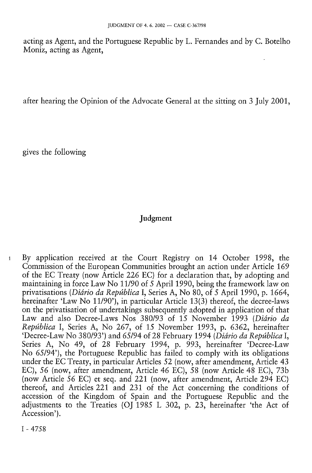acting as Agent, and the Portuguese Republic by L. Fernandes and by C. Botelho Moniz, acting as Agent,

after hearing the Opinion of the Advocate General at the sitting on 3 July 2001,

gives the following

## Judgment

1 By application received at the Court Registry on 14 October 1998, the Commission of the European Communities brought an action under Article 169 of the EC Treaty (now Article 226 EC) for a declaration that, by adopting and maintaining in force Law No 11/90 of 5 April 1990, being the framework law on privatisations *(Diário da República* I, Series A, No 80, of 5 April 1990, p. 1664, hereinafter 'Law No 11/90'), in particular Article 13(3) thereof, the decree-laws on the privatisation of undertakings subsequently adopted in application of that Law and also Decree-Laws Nos 380/93 of 15 November 1993 *(Diário da República* I, Series A, No 267, of 15 November 1993, p. 6362, hereinafter 'Decree-Law No 380/93') and 65/94 of 28 February 1994 *(Diário da República* I, Series A, No 49, of 28 February 1994, p. 993, hereinafter 'Decree-Law No 65/94'), the Portuguese Republic has failed to comply with its obligations under the EC Treaty, in particular Articles 52 (now, after amendment, Article 43 EC), *56* (now, after amendment, Article 46 EC), 58 (now Article 48 EC), 73b (now Article *56* EC) et seq. and 221 (now, after amendment, Article 294 EC) thereof, and Articles 221 and 231 of the Act concerning the conditions of accession of the Kingdom of Spain and the Portuguese Republic and the adjustments to the Treaties (OJ 1985 L 302, p. 23, hereinafter 'the Act of Accession').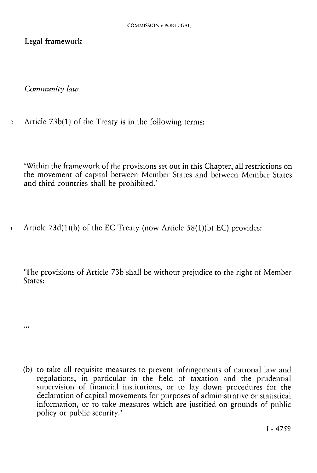Legal framework

*Community law* 

 $\ddotsc$ 

*2* Article 73b(1) of the Treaty is in the following terms:

'Within the framework of the provisions set out in this Chapter, all restrictions on the movement of capital between Member States and between Member States and third countries shall be prohibited.'

3 Article 73d(1)(b) of the EC Treaty (now Article 58(1 )(b) EC) provides:

'The provisions of Article 73b shall be without prejudice to the right of Member States:

(b) to take all requisite measures to prevent infringements of national law and regulations, in particular in the field of taxation and the prudential supervision of financial institutions, or to lay down procedures for the declaration of capital movements for purposes of administrative or statistical information, or to take measures which are justified on grounds of public policy or public security.'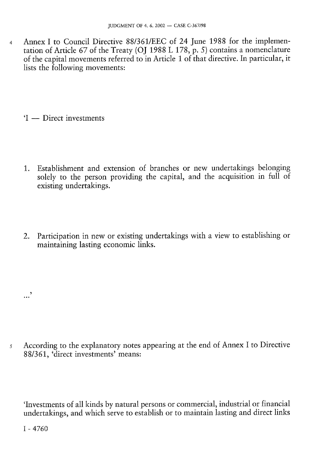4 Annex I to Council Directive 88/361/EEC of 24 June 1988 for the implementation of Article 67 of the Treaty (OJ 1988 L 178, p. 5) contains a nomenclature of the capital movements referred to in Article 1 of that directive. In particular, it lists the following movements:

'I — Direct investments

- 1. Establishment and extension of branches or new undertakings belonging solely to the person providing the capital, and the acquisition in full of existing undertakings.
- 2. Participation in new or existing undertakings with a view to establishing or maintaining lasting economic links.

5 According to the explanatory notes appearing at the end of Annex I to Directive 88/361, 'direct investments' means:

'Investments of all kinds by natural persons or commercial, industrial or financial undertakings, and which serve to establish or to maintain lasting and direct links

I - 4760

…'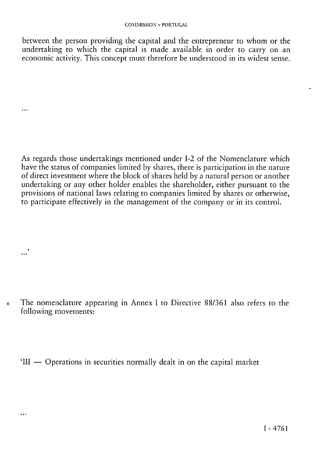between the person providing the capital and the entrepreneur to whom or the undertaking to which the capital is made available in order to carry on an economic activity. This concept must therefore be understood in its widest sense.

As regards those undertakings mentioned under 1-2 of the Nomenclature which have the status of companies limited by shares, there is participation in the nature of direct investment where the block of shares held by a natural person or another undertaking or any other holder enables the shareholder, either pursuant to the provisions of national laws relating to companies limited by shares or otherwise, to participate effectively in the management of the company or in its control.

6 The nomenclature appearing in Annex I to Directive 88/361 also refers to the following movements:

...'

 $\ddotsc$ 

 $\ddotsc$ 

'III — Operations in securities normally dealt in on the capital market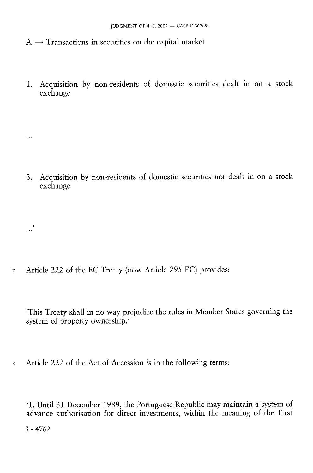A — Transactions in securities on the capital market

1. Acquisition by non-residents of domestic securities dealt in on a stock exchange

3. Acquisition by non-residents of domestic securities not dealt in on a stock exchange

7 Article 222 of the EC Treaty (now Article 295 EC) provides:

'This Treaty shall in no way prejudice the rules in Member States governing the system of property ownership.'

8 Article 222 of the Act of Accession is in the following terms:

'1. Until 31 December 1989, the Portuguese Republic may maintain a system of advance authorisation for direct investments, within the meaning of the First

I - 4762

...'

 $\ddotsc$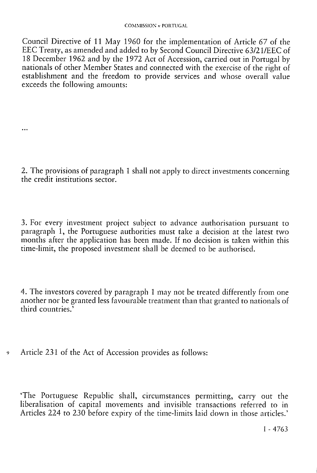Council Directive of 11 May 1960 for the implementation of Article 67 of the EEC Treaty, as amended and added to by Second Council Directive 63/21/EEC of 18 December 1962 and by the 1972 Act of Accession, carried out in Portugal by nationals of other Member States and connected with the exercise of the right of establishment and the freedom to provide services and whose overall value exceeds the following amounts:

2. The provisions of paragraph 1 shall not apply to direct investments concerning the credit institutions sector.

3. For every investment project subject to advance authorisation pursuant to paragraph 1, the Portuguese authorities must take a decision at the latest two months after the application has been made. If no decision is taken within this time-limit, the proposed investment shall be deemed to be authorised.

4. The investors covered by paragraph 1 may not be treated differently from one another nor be granted less favourable treatment than that granted to nationals of third countries.'

9 Article 231 of the Act of Accession provides as follows:

...

'The Portuguese Republic shall, circumstances permitting, carry out the liberalisation of capital movements and invisible transactions referred to in Articles 224 to 230 before expiry of the time-limits laid down in those articles.'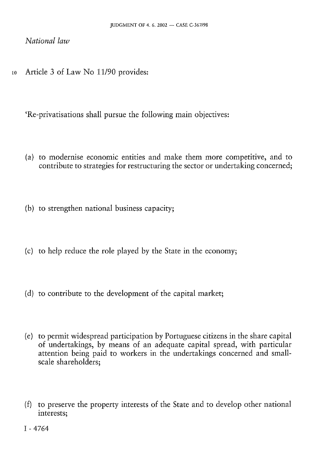### National law

Article 3 of Law No 11/90 provides: 10

'Re-privatisations shall pursue the following main objectives:

- (a) to modernise economic entities and make them more competitive, and to contribute to strategies for restructuring the sector or undertaking concerned;
- (b) to strengthen national business capacity;
- (c) to help reduce the role played by the State in the economy;
- (d) to contribute to the development of the capital market;
- (e) to permit widespread participation by Portuguese citizens in the share capital of undertakings, by means of an adequate capital spread, with particular attention being paid to workers in the undertakings concerned and smallscale shareholders;
- (f) to preserve the property interests of the State and to develop other national interests: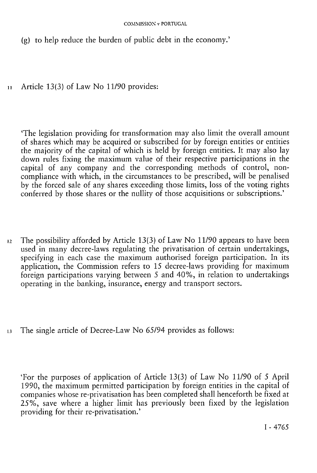#### COMMISSION v PORTUGAL

(g) to help reduce the burden of public debt in the economy.'

11 Article 13(3) of Law No 11/90 provides:

'The legislation providing for transformation may also limit the overall amount of shares which may be acquired or subscribed for by foreign entities or entities the majority of the capital of which is held by foreign entities. It may also lay down rules fixing the maximum value of their respective participations in the capital of any company and the corresponding methods of control, noncompliance with which, in the circumstances to be prescribed, will be penalised by the forced sale of any shares exceeding those limits, loss of the voting rights conferred by those shares or the nullity of those acquisitions or subscriptions.'

- $12$  The possibility afforded by Article 13(3) of Law No 11/90 appears to have been used in many decree-laws regulating the privatisation of certain undertakings, specifying in each case the maximum authorised foreign participation. In its application, the Commission refers to 15 decree-laws providing for maximum foreign participations varying between 5 and 40%, in relation to undertakings operating in the banking, insurance, energy and transport sectors.
- 13 The single article of Decree-Law No 65/94 provides as follows:

'For the purposes of application of Article 13(3) of Law No 11/90 of 5 April 1990, the maximum permitted participation by foreign entities in the capital of companies whose re-privatisation has been completed shall henceforth be fixed at 25%, save where a higher limit has previously been fixed by the legislation providing for their re-privatisation.'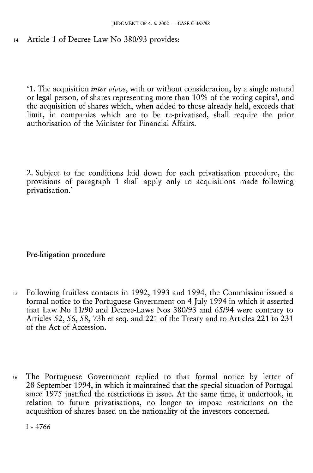14 Article 1 of Decree-Law No 380/93 provides:

' 1 . The acquisition inter v*ivos, w*ith or without consideration, by a single natural or legal person, of shares representing more than 10% of the voting capital, and the acquisition of shares which, when added to those already held, exceeds that limit, in companies which are to be re-privatised, shall require the prior authorisation of the Minister for Financial Affairs.

2. Subject to the conditions laid down for each privatisation procedure, the provisions of paragraph 1 shall apply only to acquisitions made following privatisation.'

Pre-litigation procedure

- 15 Following fruitless contacts in 1992, 1993 and 1994, the Commission issued a formal notice to the Portuguese Government on 4 July 1994 in which it asserted that Law No 11/90 and Decree-Laws Nos 380/93 and 65/94 were contrary to Articles 52, 56, 58, 73b et seq. and 221 of the Treaty and to Articles 221 to 231 of the Act of Accession.
- 16 The Portuguese Government replied to that formal notice by letter of 28 September 1994, in which it maintained that the special situation of Portugal since 1975 justified the restrictions in issue. At the same time, it undertook, in relation to future privatisations, no longer to impose restrictions on the acquisition of shares based on the nationality of the investors concerned.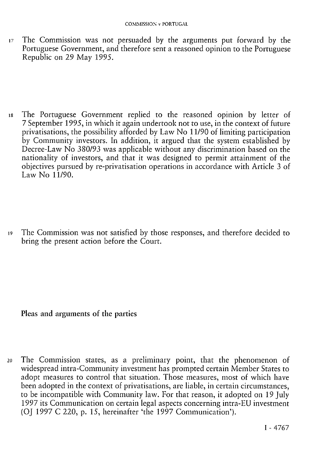17 The Commission was not persuaded by the arguments put forward by the Portuguese Government, and therefore sent a reasoned opinion to the Portuguese Republic on 29 May 1995.

18 The Portuguese Government replied to the reasoned opinion by letter of 7 September 1995, in which it again undertook not to use, in the context of future privatisations, the possibility afforded by Law No 11/90 of limiting participation by Community investors. In addition, it argued that the system established by Decree-Law No 380/93 was applicable without any discrimination based on the nationality of investors, and that it was designed to permit attainment of the objectives pursued by re-privatisation operations in accordance with Article 3 of Law No 11/90.

19 The Commission was not satisfied by those responses, and therefore decided to bring the present action before the Court.

Pleas and arguments of the parties

20 The Commission states, as a preliminary point, that the phenomenon of widespread intra-Community investment has prompted certain Member States to adopt measures to control that situation. Those measures, most of which have been adopted in the context of privatisations, are liable, in certain circumstances, to be incompatible with Community law. For that reason, it adopted on 19 July 1997 its Communication on certain legal aspects concerning intra-EU investment (OJ 1997 C 220, p. 15, hereinafter 'the 1997 Communication').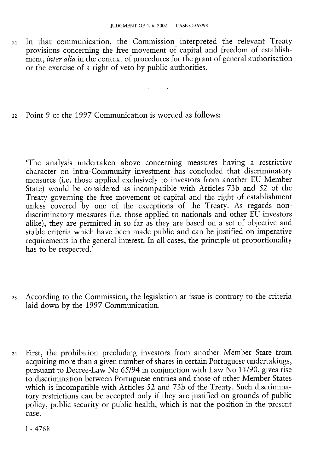21 In that communication, the Commission interpreted the relevant Treaty provisions concerning the free movement of capital and freedom of establishment, *inter alia* in the context of procedures for the grant of general authorisation or the exercise of a right of veto by public authorities.

 $\mathcal{L}_{\mathcal{A}}$  , and  $\mathcal{L}_{\mathcal{A}}$  , and  $\mathcal{L}_{\mathcal{A}}$  , and  $\mathcal{L}_{\mathcal{A}}$  , and  $\mathcal{L}_{\mathcal{A}}$ 

22 Point 9 of the 1997 Communication is worded as follows:

'The analysis undertaken above concerning measures having a restrictive character on intra-Community investment has concluded that discriminatory measures (i.e. those applied exclusively to investors from another EU Member State) would be considered as incompatible with Articles 73b and 52 of the Treaty governing the free movement of capital and the right of establishment unless covered by one of the exceptions of the Treaty. As regards nondiscriminatory measures (i.e. those applied to nationals and other EU investors alike), they are permitted in so far as they are based on a set of objective and stable criteria which have been made public and can be justified on imperative requirements in the general interest. In all cases, the principle of proportionality has to be respected.'

- 23 According to the Commission, the legislation at issue is contrary to the criteria laid down by the 1997 Communication.
- 24 First, the prohibition precluding investors from another Member State from acquiring more than a given number of shares in certain Portuguese undertakings, pursuant to Decree-Law No 65/94 in conjunction with Law No 11/90, gives rise to discrimination between Portuguese entities and those of other Member States which is incompatible with Articles 52 and 73b of the Treaty. Such discriminatory restrictions can be accepted only if they are justified on grounds of public policy, public security or public health, which is not the position in the present case.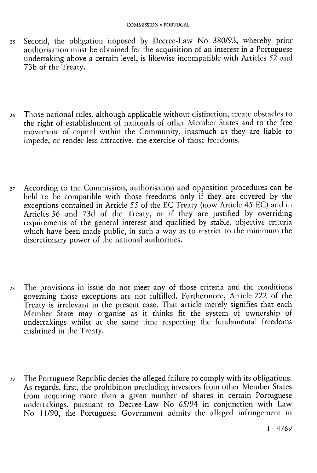- *25* Second, the obligation imposed by Decree-Law No 380/93, whereby prior authorisation must be obtained for the acquisition of an interest in a Portuguese undertaking above a certain level, is likewise incompatible with Articles  $52$  and 73b of the Treaty.
- 26 Those national rules, although applicable without distinction, create obstacles to the right of establishment of nationals of other Member States and to the free movement of capital within the Community, inasmuch as they are liable to impede, or render less attractive, the exercise of those freedoms.
- 27 According to the Commission, authorisation and opposition procedures can be held to be compatible with those freedoms only if they are covered by the exceptions contained in Article 55 of the EC Treaty (now Article 45 EC) and in Articles 56 and 73d of the Treaty, or if they are justified by overriding requirements of the general interest and qualified by stable, objective criteria which have been made public, in such a way as to restrict to the minimum the discretionary power of the national authorities.
- 28 The provisions in issue do not meet any of those criteria and the conditions governing those exceptions are not fulfilled. Furthermore, Article 222 of the Treaty is irrelevant in the present case. That article merely signifies that each Member State may organise as it thinks fit the system of ownership of undertakings whilst at the same time respecting the fundamental freedoms enshrined in the Treaty.
- 29 The Portuguese Republic denies the alleged failure to comply with its obligations. As regards, first, the prohibition precluding investors from other Member States from acquiring more than a given number of shares in certain Portuguese undertakings, pursuant to Decree-Law No 65/94 in conjunction with Law No 11/90, the Portuguese Government admits the alleged infringement in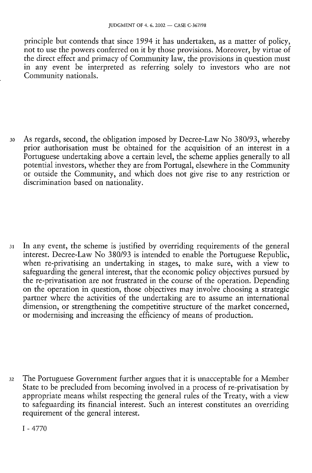principle but contends that since 1994 it has undertaken, as a matter of policy, not to use the powers conferred on it by those provisions. Moreover, by virtue of the direct effect and primacy of Community law, the provisions in question must in any event be interpreted as referring solely to investors who are not Community nationals.

30 As regards, second, the obligation imposed by Decree-Law No 380/93, whereby prior authorisation must be obtained for the acquisition of an interest in a Portuguese undertaking above a certain level, the scheme applies generally to all potential investors, whether they are from Portugal, elsewhere in the Community or outside the Community, and which does not give rise to any restriction or discrimination based on nationality.

31 In any event, the scheme is justified by overriding requirements of the general interest. Decree-Law No 380/93 is intended to enable the Portuguese Republic, when re-privatising an undertaking in stages, to make sure, with a view to safeguarding the general interest, that the economic policy objectives pursued by the re-privatisation are not frustrated in the course of the operation. Depending on the operation in question, those objectives may involve choosing a strategic partner where the activities of the undertaking are to assume an international dimension, or strengthening the competitive structure of the market concerned, or modernising and increasing the efficiency of means of production.

32 The Portuguese Government further argues that it is unacceptable for a Member State to be precluded from becoming involved in a process of re-privatisation by appropriate means whilst respecting the general rules of the Treaty, with a view to safeguarding its financial interest. Such an interest constitutes an overriding requirement of the general interest.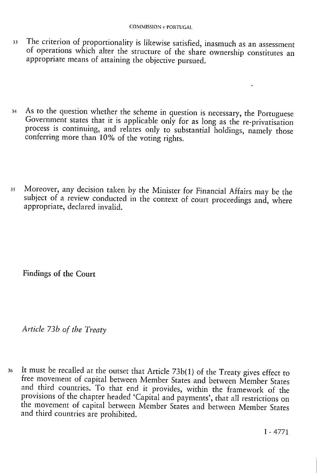- 33 The criterion of proportionality is likewise satisfied, inasmuch as an assessment of operations which alter the structure of the share ownership constitutes an appropriate means of attaining the objective pursued.
- 34 As to the question whether the scheme in question is necessary, the Portuguese Government states that it is applicable only for as long as the re-privatisation process is continuing, and relates only to substantial holdings, namely those conferring more than 10% of the voting rights.
- 35 Moreover, any decision taken by the Minister for Financial Affairs may be the subject of a review conducted in the context of court proceedings and, where appropriate, declared invalid.

Findings of the Court

*Article 73b of the Treaty* 

36 It must be recalled at the outset that Article 73b(1) of the Treaty gives effect to free movement of capital between Member States and between Member States and third countries. To that end it provides, within the framework of the provisions of the chapter headed 'Capital and payments', that all restrictions on the movement of capital between Member States and between Member States and third countries are prohibited.

 $\mathbf{r} = \mathbf{r}$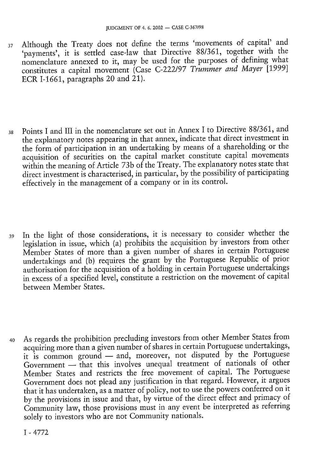- 37 Although the Treaty does not define the terms 'movements of capital' and 'payments', it is settled case-law that Directive 88/361, together with the nomenclature annexed to it, may be used for the purposes of defining what constitutes a capital movement (Case C-222/97 *Trümmer and Mayer* [1999] ECR I-1661, paragraphs 20 and 21).
- 38 Points I and III in the nomenclature set out in Annex I to Directive 88/361, and the explanatory notes appearing in that annex, indicate that direct investment in the form of participation in an undertaking by means of a shareholding or the acquisition of securities on the capital market constitute capital movements within the meaning of Article 73b of the Treaty. The explanatory notes state that direct investment is characterised, in particular, by the possibility of participating effectively in the management of a company or in its control.
- 39 In the light of those considerations, it is necessary to consider whether the legislation in issue, which (a) prohibits the acquisition by investors from other Member States of more than a given number of shares in certain Portuguese undertakings and (b) requires the grant by the Portuguese Republic of prior authorisation for the acquisition of a holding in certain Portuguese undertakings in excess of a specified level, constitute a restriction on the movement of capital between Member States.
- 40 As regards the prohibition precluding investors from other Member States from acquiring more than a given number of shares in certain Portuguese undertakings, it is common ground — and, moreover, not disputed by the Portuguese Government — that this involves unequal treatment of nationals of other Member States and restricts the free movement of capital. The Portuguese Government does not plead any justification in that regard. However, it argues that it has undertaken, as a matter of policy, not to use the powers conferred on it by the provisions in issue and that, by virtue of the direct effect and primacy of Community law, those provisions must in any event be interpreted as referring solely to investors who are not Community nationals.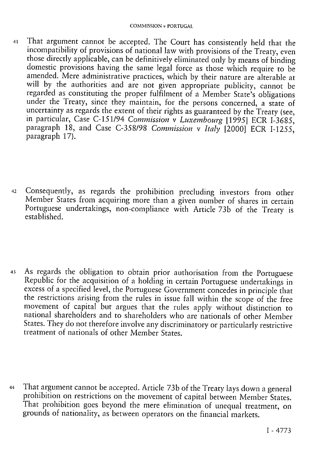- 41 That argument cannot be accepted. The Court has consistently held that the incompatibility of provisions of national law with provisions of the Treaty, even those directly applicable, can be definitively eliminated only by means of binding domestic provisions having the same legal force as those which require to be amended. Mere administrative practices, which by their nature are alterable at will by the authorities and are not given appropriate publicity, cannot be regarded as constituting the proper fulfilment of a Member State's obligations under the Treaty, since they maintain, for the persons concerned, a state of uncertainty as regards the extent of their rights as guaranteed by the Treaty (see, in particular, Case C-151/94 *Commission* v *Luxembourg* [1995] ECR I-3685, paragraph 18, and Case C-358/98 *Commission* v *Italy* [2000] ECR I-1255, paragraph 17).
- 42 Consequently, as regards the prohibition precluding investors from other Member States from acquiring more than a given number of shares in certain Portuguese undertakings, non-compliance with Article 73b of the Treaty is established.
- 43 As regards the obligation to obtain prior authorisation from the Portuguese Republic for the acquisition of a holding in certain Portuguese undertakings in excess of a specified level, the Portuguese Government concedes in principle that the restrictions arising from the rules in issue fall within the scope of the free movement of capital but argues that the rules apply without distinction to national shareholders and to shareholders who are nationals of other Member States. They do not therefore involve any discriminatory or particularly restrictive treatment of nationals of other Member States.
- 44 That argument cannot be accepted. Article 73b of the Treaty lays down a general prohibition on restrictions on the movement of capital between Member States. That prohibition goes beyond the mere elimination of unequal treatment, on grounds of nationality, as between operators on the financial markets.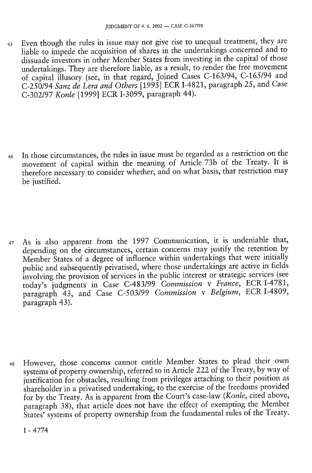45 Even though the rules in issue may not give rise to unequal treatment, they are liable to impede the acquisition of shares in the undertakings concerned and to dissuade investors in other Member States from investing in the capital of those undertakings. They are therefore liable, as a result, to render the free movement of capital illusory (see, in that regard, Joined Cases C-163/94, C-165/94 and C-250/94 *Sanz de Lera and Others* [1995] ECR1-4821, paragraph 25, and Case C-302/97 *Konle* [1999] ECR I-3099, paragraph 44).

46 In those circumstances, the rules in issue must be regarded as a restriction on the movement of capital within the meaning of Article 73b of the Treaty. It is therefore necessary to consider whether, and on what basis, that restriction may be justified.

47 As is also apparent from the 1997 Communication, it is undeniable that, depending on the circumstances, certain concerns may justify the retention by Member States of a degree of influence within undertakings that were initially public and subsequently privatised, where those undertakings are active in fields involving the provision of services in the public interest or strategic services (see today's judgments in Case C-483/99 *Commission* v *France,* ECR I-4781, paragraph 43, and Case C-503/99 *Commission* v *Belgium,* ECR I-4809, paragraph 43).

48 However, those concerns cannot entitle Member States to plead their own systems of property ownership, referred to in Article 222 of the Treaty, by way of justification for obstacles, resulting from privileges attaching to their position as shareholder in a privatised undertaking, to the exercise of the freedoms provided for by the Treaty. As is apparent from the Court's case-law *(Konle,* cited above, paragraph 38), that article does not have the effect of exempting the Member States' systems of property ownership from the fundamental rules of the Treaty.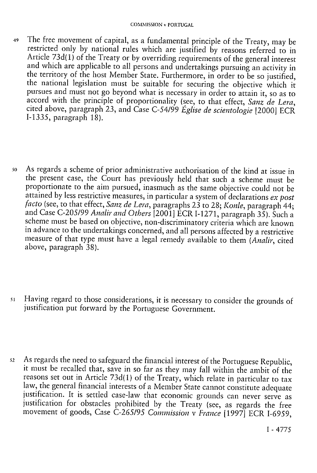- 49 The free movement of capital, as a fundamental principle of the Treaty, may be restricted only by national rules which are justified by reasons referred to in Article 73d(l) of the Treaty or by overriding requirements of the general interest and which are applicable to all persons and undertakings pursuing an activity in the territory of the host Member State. Furthermore, in order to be so justified, the national legislation must be suitable for securing the objective which it pursues and must not go beyond what is necessary in order to attain it, so as to accord with the principle of proportionality (see, to that effect, *Sanz de Lera,*  cited above, paragraph 23, and Case C-54/99 *Église de Scientologie* [2000] ECR I-1335, paragraph 18).
- 50 As regards a scheme of prior administrative authorisation of the kind at issue in the present case, the Court has previously held that such a scheme must be proportionate to the aim pursued, inasmuch as the same objective could not be attained by less restrictive measures, in particular a system of declarations *ex post facto* (see, to that effect, *Sanz de Lera,* paragraphs 23 to 28; *Konle,* paragraph 44; and Case C-205/99 *Analir and Others* [2001] ECR 1-1271, paragraph 35). Such a scheme must be based on objective, non-discriminatory criteria which are known in advance to the undertakings concerned, and all persons affected by a restrictive measure of that type must have a legal remedy available to them *(Analir,* cited above, paragraph 38).
- 51 Having regard to those considerations, it is necessary to consider the grounds of justification put forward by the Portuguese Government.
- 52 As regards the need to safeguard the financial interest of the Portuguese Republic, it must be recalled that, save in so far as they may fall within the ambit of the reasons set out in Article 73d(l) of the Treaty, which relate in particular to tax law, the general financial interests of a Member State cannot constitute adequate justification. It is settled case-law that economic grounds can never serve as justification for obstacles prohibited by the Treaty (see, as regards the free movement of goods, Case C-265/95 *Commission* v *France* [1997] ECR I-6959,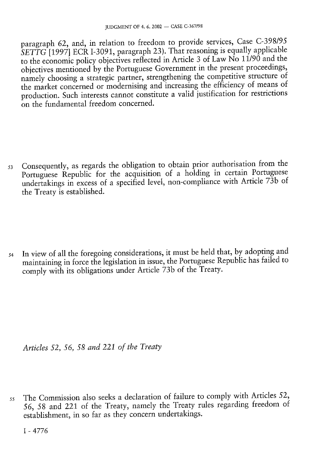paragraph 62, and, in relation to freedom to provide services, Case C-398/95 *SETTG* [1997] ECR I-3091, paragraph 23). That reasoning is equally applicable to the economic policy objectives reflected in Article 3 of Law No 11/90 and the objectives mentioned by the Portuguese Government in the present proceedings, namely choosing a strategic partner, strengthening the competitive structure of the market concerned or modernising and increasing the efficiency of means of production. Such interests cannot constitute a valid justification for restrictions on the fundamental freedom concerned.

53 Consequently, as regards the obligation to obtain prior authorisation from the Portuguese Republic for the acquisition of a holding in certain Portuguese undertakings in excess of a specified level, non-compliance with Article 73b of the Treaty is established.

54 In view of all the foregoing considerations, it must be held that, by adopting and maintaining in force the legislation in issue, the Portuguese Republic has failed to comply with its obligations under Article 73b of the Treaty.

*Articles 52, 56, 58 and 221 of the Treaty* 

55 The Commission also seeks a declaration of failure to comply with Articles 52, 56, 58 and 221 of the Treaty, namely the Treaty rules regarding freedom of establishment, in so far as they concern undertakings.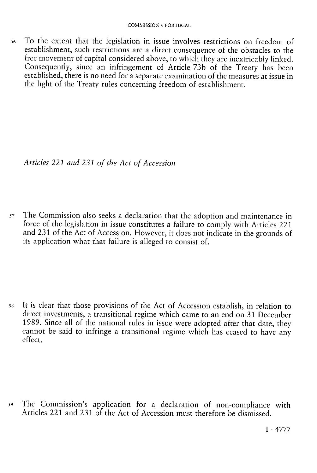56 To the extent that the legislation in issue involves restrictions on freedom of establishment, such restrictions are a direct consequence of the obstacles to the free movement of capital considered above, to which they are inextricably linked. Consequently, since an infringement of Article 73b of the Treaty has been established, there is no need for a separate examination of the measures at issue in the light of the Treaty rules concerning freedom of establishment.

*Articles 221 and 231 of the Act of Accession* 

57 The Commission also seeks a declaration that the adoption and maintenance in force of the legislation in issue constitutes a failure to comply with Articles 221 and 231 of the Act of Accession. However, it does not indicate in the grounds of its application what that failure is alleged to consist of.

58 It is clear that those provisions of the Act of Accession establish, in relation to direct investments, a transitional regime which came to an end on 31 December 1989. Since all of the national rules in issue were adopted after that date, they cannot be said to infringe a transitional regime which has ceased to have any effect.

59 The Commission's application for a declaration of non-compliance with Articles 221 and 231 of the Act of Accession must therefore be dismissed.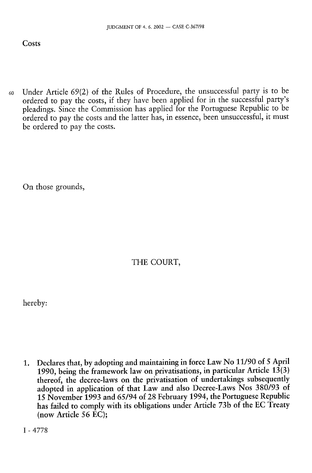60 Under Article 69(2) of the Rules of Procedure, the unsuccessful party is to be ordered to pay the costs, if they have been applied for in the successful party's pleadings. Since the Commission has applied for the Portuguese Republic to be ordered to pay the costs and the latter has, in essence, been unsuccessful, it must be ordered to pay the costs.

On those grounds,

THE COURT,

hereby:

1. Declares that, by adopting and maintaining in force Law No 11/90 of 5 April 1990, being the framework law on privatisations, in particular Article  $13(3)$ thereof, the decree-laws on the privatisation of undertakings subsequently adopted in application of that Law and also Decree-Laws Nos 380/93 of 15 November 1993 and 65/94 of 28 February 1994, the Portuguese Republic has failed to comply with its obligations under Article 73b of the EC Treaty (now Article 56 EC);